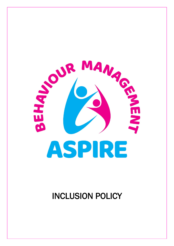

INCLUSION POLICY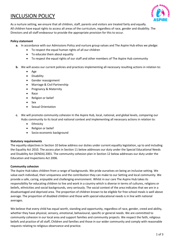# INCLUSION POLICY



As a nurture setting, we ensure that all children, staff, parents and visitors are treated fairly and equally. All children have equal rights to access all areas of the curriculum, regardless of race, gender and disability. The Directors and all staff endeavour to provide the appropriate provision for this to occur.

## **Policy statement**

- **a.** In accordance with our Admissions Policy and nurture group values and The Aspire Hub ethos we pledge:
	- To respect the equal human rights of all our children
	- To educate them about equality
	- To respect the equal rights of our staff and other members of The Aspire Hub community
- **b.** We will assess our current policies and practices implementing all necessary resulting actions in relation to:
	- Age
	- Disability
	- Gender reassignment
	- Marriage & Civil Partnership
	- Pregnancy & Maternity
	- Race
	- Religion or belief
	- Sex
	- Sexual Orientation
- **c.** We will promote community cohesion In the Aspire Hub, local, national, and global levels, comparing our Hubs community to its local and national context and implementing all necessary actions in relation to:
	- Ethnicity
	- Religion or belief
	- Socio-economic background

## **Statutory requirements**

The equality objectives in Section 10 below address our duties under current equality legislation, up to and including the Equality Act 2010. The access plan in Section 11 below addresses our duty under the Special Educational Needs and Disability Act (SENDA) 2001. The community cohesion plan in Section 12 below addresses our duty under the Education and Inspections Act 2006.

## **Community cohesion**

The Aspire Hub takes children from a range of backgrounds. We pride ourselves on being an inclusive setting. We value each individual, their uniqueness and the contribution they can make to our Setting and local community. We provide a safe, caring, enjoyable and challenging environment. Whilst in our care The Aspire Hub takes its responsibility for educating children to live and work in a country which is diverse in terms of cultures, religions or beliefs, ethnicities and social backgrounds, very seriously. The social context of the area indicates that we are in a disadvantaged and deprived area. The proportion of children known to be eligible for free school meals is well above average. The proportion of disabled children and those with special educational needs is in line with national averages.

We believe that every child has equal worth, standing and opportunity, regardless of race, gender, creed and ability, whether they have physical, sensory, emotional, behavioural, specific or general needs. We are committed to community cohesion in our local area and support families and community projects. We respect the faith, religious beliefs and practice of all staff, Children and families and those in our wider community and comply with reasonable requests relating to religious observance and practice.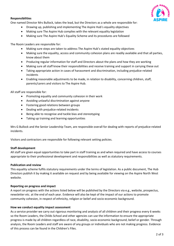

#### **Responsibilities**

One named Director Mrs Bullock, takes the lead, but the Directors as a whole are responsible for:

- Drawing up, publishing and implementing The Aspire Hub's equality objectives
- Making sure The Aspire Hub complies with the relevant equality legislation
- Making sure The Aspire Hub's Equality Scheme and its procedures are followed

The Room Leaders are responsible for:

- Making sure steps are taken to address The Aspire Hub's stated equality objectives
- Making sure the equality, access and community cohesion plans are readily available and that all parties, know about them
- Producing regular information for staff and Directors about the plans and how they are working
- Making sure all staff know their responsibilities and receive training and support in carrying these out
- Taking appropriate action in cases of harassment and discrimination, including prejudice-related incidents
- Enabling reasonable adjustments to be made, in relation to disability, concerning children, staff, parents/carers and visitors to The Aspire Hub.

All staff are responsible for:

- Promoting equality and community cohesion in their work
- Avoiding unlawful discrimination against anyone
- Fostering good relations between groups
- Dealing with prejudice-related incidents
- Being able to recognise and tackle bias and stereotyping
- Taking up training and learning opportunities

Mrs G Bullock and the Senior Leadership Team, are responsible overall for dealing with reports of prejudice-related incidents.

Visitors and contractors are responsible for following relevant setting policies.

#### **Staff development**

All staff are given equal opportunities to take part in staff training as and when required and have access to courses appropriate to their professional development and responsibilities as well as statutory requirements.

#### **Publication and review**

This equality scheme fulfils statutory requirements under the terms of legislation. As a public document, The Hub Directors publish it by making it available on request and by being available for viewing on the Aspire North West website.

#### **Reporting on progress and impact**

A report on progress with the actions listed below will be published by the Directors via e.g., website, prospectus, newsletter etc. at the end of each year. Evidence will also be kept of the impact of our actions to promote community cohesion, in respect of ethnicity, religion or belief and socio-economic background.

#### **How we conduct equality impact assessment**

As a service provider we carry out rigorous monitoring and analysis of all children and their progress every 6 weeks so the Room Leaders, the Childs School and other agencies can use the information to ensure the appropriate progress is made by all children regardless of race, disability, socio-economic background, belief or gender. Through analysis, the Room Leaders and staff are aware of any groups or individuals who are not making progress. Evidence of this process can be found in the Children's Files.